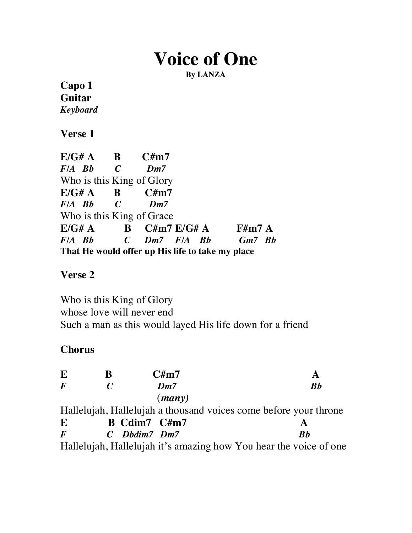# **Voice of One**

**By LANZA**

**Capo 1 Guitar** *Keyboard*

**Verse 1**

| $E/G# A$ B $C#m7$         |                                                  |  |
|---------------------------|--------------------------------------------------|--|
| $F/A$ Bb $C$              | $Dm$ 7                                           |  |
| Who is this King of Glory |                                                  |  |
| $E/G# A$ B $C#m7$         |                                                  |  |
| $F/A$ Bb $C$              | $Dm$ 7                                           |  |
| Who is this King of Grace |                                                  |  |
|                           | $E/G# A$ B $C#m7 E/G# A$ F#m7 A                  |  |
|                           | F/A Bb C Dm7 F/A Bb Gm7 Bb                       |  |
|                           | That He would offer up His life to take my place |  |

## **Verse 2**

Who is this King of Glory whose love will never end Such a man as this would layed His life down for a friend

## **Chorus**

| E        | B             | C/m7                                                              |                                |
|----------|---------------|-------------------------------------------------------------------|--------------------------------|
| $\bm{F}$ | $\mathcal{C}$ | $Dm$ 7                                                            | $\boldsymbol{B}\boldsymbol{b}$ |
|          |               | $(\textit{many})$                                                 |                                |
|          |               | Hallelujah, Hallelujah a thousand voices come before your throne  |                                |
| E        |               | B Cdim7 C#m7                                                      |                                |
| $\bm{F}$ |               | $C$ Dbdim7 Dm7                                                    | Rb                             |
|          |               | Hallelujah, Hallelujah it's amazing how You hear the voice of one |                                |